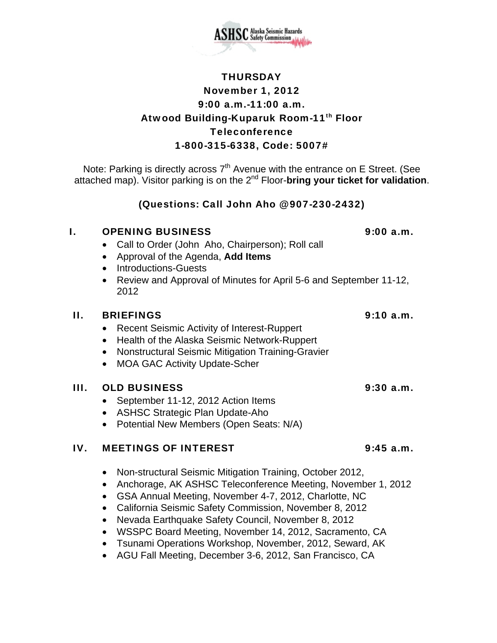

# **THURSDAY** November 1, 2012 9:00 a.m.-11:00 a.m. Atwood Building-Kuparuk Room-11<sup>th</sup> Floor Teleconference 1-800-315-6338, Code: 5007#

Note: Parking is directly across  $7<sup>th</sup>$  Avenue with the entrance on E Street. (See attached map). Visitor parking is on the 2nd Floor-**bring your ticket for validation**.

(Questions: Call John Aho @ 907-230-2432)

### I. OPENING BUSINESS 9:00 a.m.

- Call to Order (John Aho, Chairperson); Roll call
- Approval of the Agenda, **Add Items**
- Introductions-Guests
- Review and Approval of Minutes for April 5-6 and September 11-12, 2012

### II. BRIEFINGS 9:10 a.m.

- Recent Seismic Activity of Interest-Ruppert
- Health of the Alaska Seismic Network-Ruppert
- Nonstructural Seismic Mitigation Training-Gravier
- MOA GAC Activity Update-Scher

### III. OLD BUSINESS 9:30 a.m.

- September 11-12, 2012 Action Items
- ASHSC Strategic Plan Update-Aho
- Potential New Members (Open Seats: N/A)

# IV. MEETINGS OF INTEREST 9:45 a.m.

- Non-structural Seismic Mitigation Training, October 2012,
- Anchorage, AK ASHSC Teleconference Meeting, November 1, 2012
- GSA Annual Meeting, November 4-7, 2012, Charlotte, NC
- California Seismic Safety Commission, November 8, 2012
- Nevada Earthquake Safety Council, November 8, 2012
- WSSPC Board Meeting, November 14, 2012, Sacramento, CA
- Tsunami Operations Workshop, November, 2012, Seward, AK
- AGU Fall Meeting, December 3-6, 2012, San Francisco, CA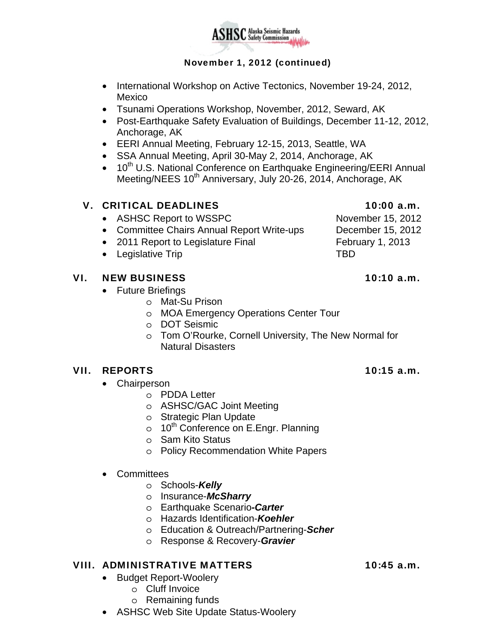

### November 1, 2012 (continued)

- International Workshop on Active Tectonics, November 19-24, 2012, Mexico
- Tsunami Operations Workshop, November, 2012, Seward, AK
- Post-Earthquake Safety Evaluation of Buildings, December 11-12, 2012, Anchorage, AK
- EERI Annual Meeting, February 12-15, 2013, Seattle, WA
- SSA Annual Meeting, April 30-May 2, 2014, Anchorage, AK
- 10<sup>th</sup> U.S. National Conference on Earthquake Engineering/EERI Annual Meeting/NEES 10<sup>th</sup> Anniversary, July 20-26, 2014, Anchorage, AK

## V. CRITICAL DEADLINES 10:00 a.m.

- ASHSC Report to WSSPC November 15, 2012
- Committee Chairs Annual Report Write-ups December 15, 2012
- 2011 Report to Legislature Final February 1, 2013
- Legislative Trip TBD

### VI. NEW BUSINESS 10:10 a.m.

- Future Briefings
	- o Mat-Su Prison
	- o MOA Emergency Operations Center Tour
	- o DOT Seismic
	- o Tom O'Rourke, Cornell University, The New Normal for Natural Disasters

### VII. REPORTS 10:15 a.m.

- **Chairperson** 
	- o PDDA Letter
	- o ASHSC/GAC Joint Meeting
	- o Strategic Plan Update
	- $\circ$  10<sup>th</sup> Conference on E.Engr. Planning
	- o Sam Kito Status
	- o Policy Recommendation White Papers
- Committees
	- o Schools-*Kelly*
	- o Insurance-*McSharry*
	- o Earthquake Scenario*-Carter*
	- o Hazards Identification-*Koehler*
	- o Education & Outreach/Partnering-*Scher*
	- o Response & Recovery-*Gravier*

### VIII. ADMINISTRATIVE MATTERS 10:45 a.m.

- Budget Report-Woolery
	- o Cluff Invoice
	- o Remaining funds
- ASHSC Web Site Update Status-Woolery